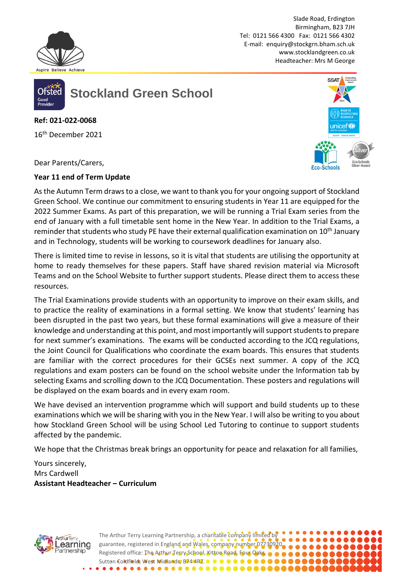

Slade Road, Erdington Birmingham, B23 7JH Tel: 0121 566 4300 Fax: 0121 566 4302 E-mail: [enquiry@stockgrn.bham.sch.uk](mailto:enquiry@stockgrn.bham.sch.uk) [www.stocklandgreen.co.uk](http://www.stocklandgreen.co.uk/) Headteacher: Mrs M George



**Stockland Green School**

**Ref: 021-022-0068**

16th December 2021



Dear Parents/Carers,

## **Year 11 end of Term Update**

As the Autumn Term draws to a close, we want to thank you for your ongoing support of Stockland Green School. We continue our commitment to ensuring students in Year 11 are equipped for the 2022 Summer Exams. As part of this preparation, we will be running a Trial Exam series from the end of January with a full timetable sent home in the New Year. In addition to the Trial Exams, a reminder that students who study PE have their external qualification examination on 10<sup>th</sup> January and in Technology, students will be working to coursework deadlines for January also.

There is limited time to revise in lessons, so it is vital that students are utilising the opportunity at home to ready themselves for these papers. Staff have shared revision material via Microsoft Teams and on the School Website to further support students. Please direct them to access these resources.

The Trial Examinations provide students with an opportunity to improve on their exam skills, and to practice the reality of examinations in a formal setting. We know that students' learning has been disrupted in the past two years, but these formal examinations will give a measure of their knowledge and understanding at this point, and most importantly will support students to prepare for next summer's examinations. The exams will be conducted according to the JCQ regulations, the Joint Council for Qualifications who coordinate the exam boards. This ensures that students are familiar with the correct procedures for their GCSEs next summer. A copy of the JCQ regulations and exam posters can be found on the school website under the Information tab by selecting Exams and scrolling down to the JCQ Documentation. These posters and regulations will be displayed on the exam boards and in every exam room.

We have devised an intervention programme which will support and build students up to these examinations which we will be sharing with you in the New Year. I will also be writing to you about how Stockland Green School will be using School Led Tutoring to continue to support students affected by the pandemic.

We hope that the Christmas break brings an opportunity for peace and relaxation for all families,

Yours sincerely, Mrs Cardwell **Assistant Headteacher – Curriculum**